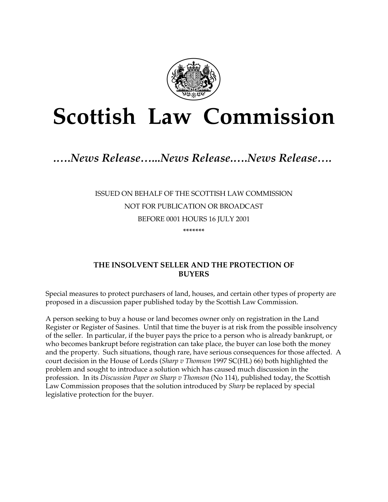

# **Scottish Law Commission**

# *.….News Release…...News Release.….News Release….*

## ISSUED ON BEHALF OF THE SCOTTISH LAW COMMISSION NOT FOR PUBLICATION OR BROADCAST BEFORE 0001 HOURS 16 JULY 2001 **\*\*\*\*\*\*\***

### **THE INSOLVENT SELLER AND THE PROTECTION OF BUYERS**

Special measures to protect purchasers of land, houses, and certain other types of property are proposed in a discussion paper published today by the Scottish Law Commission.

A person seeking to buy a house or land becomes owner only on registration in the Land Register or Register of Sasines. Until that time the buyer is at risk from the possible insolvency of the seller. In particular, if the buyer pays the price to a person who is already bankrupt, or who becomes bankrupt before registration can take place, the buyer can lose both the money and the property. Such situations, though rare, have serious consequences for those affected. A court decision in the House of Lords (*Sharp v Thomson* 1997 SC(HL) 66) both highlighted the problem and sought to introduce a solution which has caused much discussion in the profession. In its *Discussion Paper on Sharp v Thomson* (No 114), published today, the Scottish Law Commission proposes that the solution introduced by *Sharp* be replaced by special legislative protection for the buyer.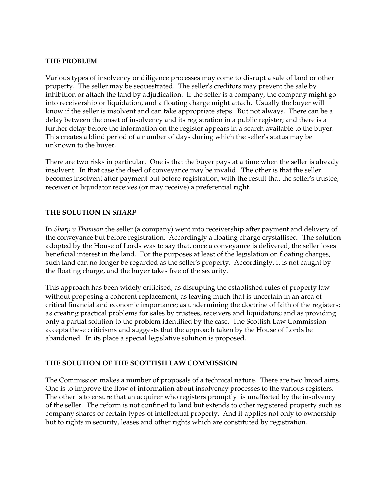#### **THE PROBLEM**

Various types of insolvency or diligence processes may come to disrupt a sale of land or other property. The seller may be sequestrated. The seller's creditors may prevent the sale by inhibition or attach the land by adjudication. If the seller is a company, the company might go into receivership or liquidation, and a floating charge might attach. Usually the buyer will know if the seller is insolvent and can take appropriate steps. But not always. There can be a delay between the onset of insolvency and its registration in a public register; and there is a further delay before the information on the register appears in a search available to the buyer. This creates a blind period of a number of days during which the seller's status may be unknown to the buyer.

There are two risks in particular. One is that the buyer pays at a time when the seller is already insolvent. In that case the deed of conveyance may be invalid. The other is that the seller becomes insolvent after payment but before registration, with the result that the seller's trustee, receiver or liquidator receives (or may receive) a preferential right.

#### **THE SOLUTION IN** *SHARP*

In *Sharp v Thomson* the seller (a company) went into receivership after payment and delivery of the conveyance but before registration. Accordingly a floating charge crystallised. The solution adopted by the House of Lords was to say that, once a conveyance is delivered, the seller loses beneficial interest in the land. For the purposes at least of the legislation on floating charges, such land can no longer be regarded as the seller's property. Accordingly, it is not caught by the floating charge, and the buyer takes free of the security.

This approach has been widely criticised, as disrupting the established rules of property law without proposing a coherent replacement; as leaving much that is uncertain in an area of critical financial and economic importance; as undermining the doctrine of faith of the registers; as creating practical problems for sales by trustees, receivers and liquidators; and as providing only a partial solution to the problem identified by the case. The Scottish Law Commission accepts these criticisms and suggests that the approach taken by the House of Lords be abandoned. In its place a special legislative solution is proposed.

#### **THE SOLUTION OF THE SCOTTISH LAW COMMISSION**

The Commission makes a number of proposals of a technical nature. There are two broad aims. One is to improve the flow of information about insolvency processes to the various registers. The other is to ensure that an acquirer who registers promptly is unaffected by the insolvency of the seller. The reform is not confined to land but extends to other registered property such as company shares or certain types of intellectual property. And it applies not only to ownership but to rights in security, leases and other rights which are constituted by registration.